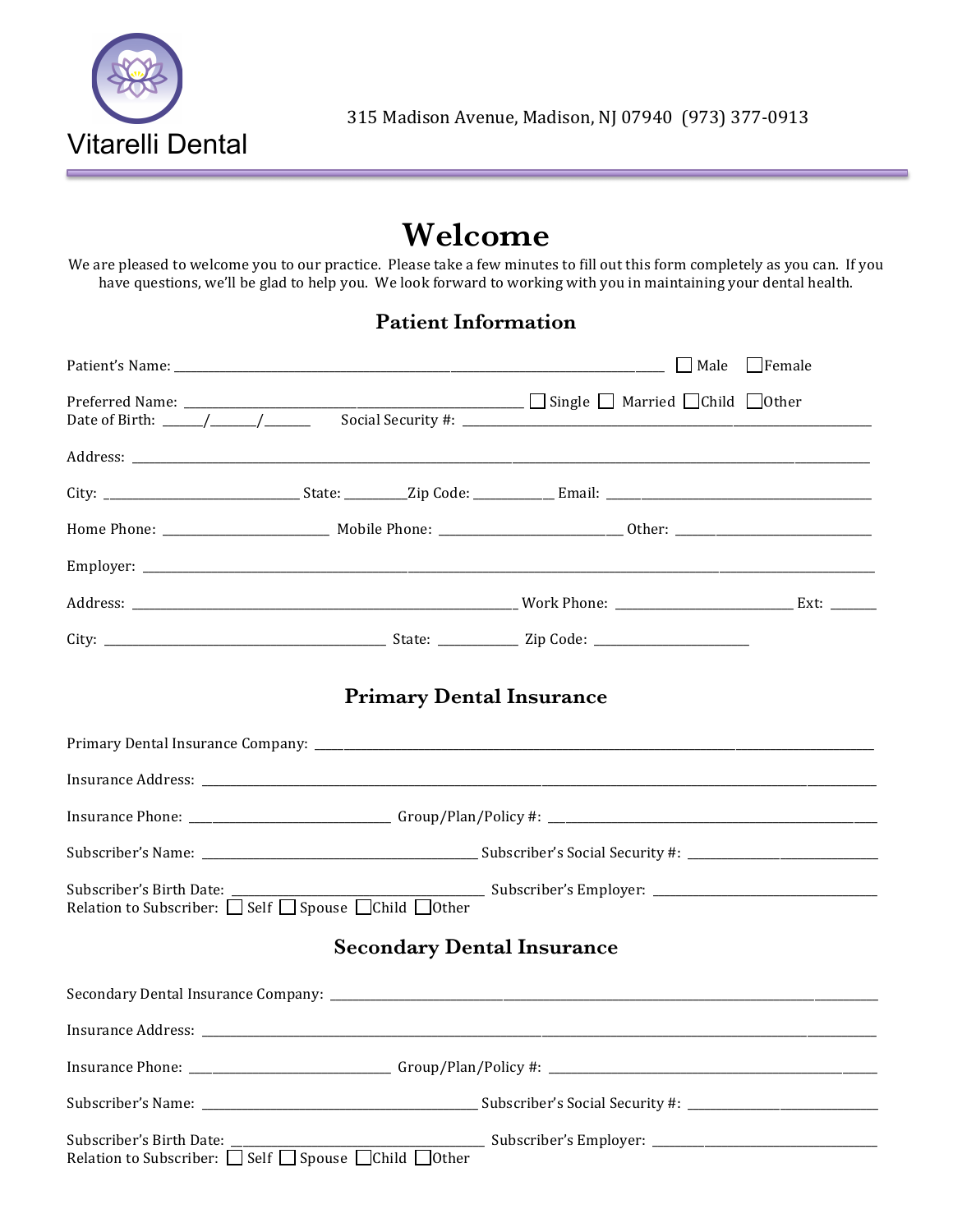

# Welcome

We are pleased to welcome you to our practice. Please take a few minutes to fill out this form completely as you can. If you have questions, we'll be glad to help you. We look forward to working with you in maintaining your dental health.

#### **Patient Information**

| <b>Primary Dental Insurance</b>                                                                                                                                                                                                                                                                                                                                                                                                                                                                                                                                                     |  |  |  |  |  |  |  |
|-------------------------------------------------------------------------------------------------------------------------------------------------------------------------------------------------------------------------------------------------------------------------------------------------------------------------------------------------------------------------------------------------------------------------------------------------------------------------------------------------------------------------------------------------------------------------------------|--|--|--|--|--|--|--|
|                                                                                                                                                                                                                                                                                                                                                                                                                                                                                                                                                                                     |  |  |  |  |  |  |  |
|                                                                                                                                                                                                                                                                                                                                                                                                                                                                                                                                                                                     |  |  |  |  |  |  |  |
|                                                                                                                                                                                                                                                                                                                                                                                                                                                                                                                                                                                     |  |  |  |  |  |  |  |
|                                                                                                                                                                                                                                                                                                                                                                                                                                                                                                                                                                                     |  |  |  |  |  |  |  |
| $\begin{minipage}{.4\linewidth} \textbf{Subscript's Birth Date:} \begin{tabular}{ c c c } \hline \textbf{Subscripter's Employee} & \textbf{Subscripter's Employee} \\ \hline \textbf{Relation to Subscripter:} & \textbf{Self} & \textbf{Spouse} \\ \hline \end{tabular} \end{minipage}$                                                                                                                                                                                                                                                                                            |  |  |  |  |  |  |  |
| <b>Secondary Dental Insurance</b>                                                                                                                                                                                                                                                                                                                                                                                                                                                                                                                                                   |  |  |  |  |  |  |  |
|                                                                                                                                                                                                                                                                                                                                                                                                                                                                                                                                                                                     |  |  |  |  |  |  |  |
|                                                                                                                                                                                                                                                                                                                                                                                                                                                                                                                                                                                     |  |  |  |  |  |  |  |
|                                                                                                                                                                                                                                                                                                                                                                                                                                                                                                                                                                                     |  |  |  |  |  |  |  |
|                                                                                                                                                                                                                                                                                                                                                                                                                                                                                                                                                                                     |  |  |  |  |  |  |  |
| $\textsc{Subscripter's Birth Date:}\footnotesize\begin{tabular}{ l l } \hline \textsc{Subscripter's Employee} \end{tabular} \begin{tabular}{ l l } \hline Subscripter's Employee \end{tabular} \begin{tabular}{ l l } \hline Subscripter's Employee \end{tabular} \begin{tabular}{ l l } \hline Subscripter's Employee \end{tabular} \begin{tabular}{ l l } \hline \textsc{Subscripter's Employee} \end{tabular} \begin{tabular}{ l l } \hline Subscripter's Employee \end{tabular} \begin{tabular}{ l l } \hline \textsc{Subscripter's Employee} \end{tabular} \begin{tabular}{ l$ |  |  |  |  |  |  |  |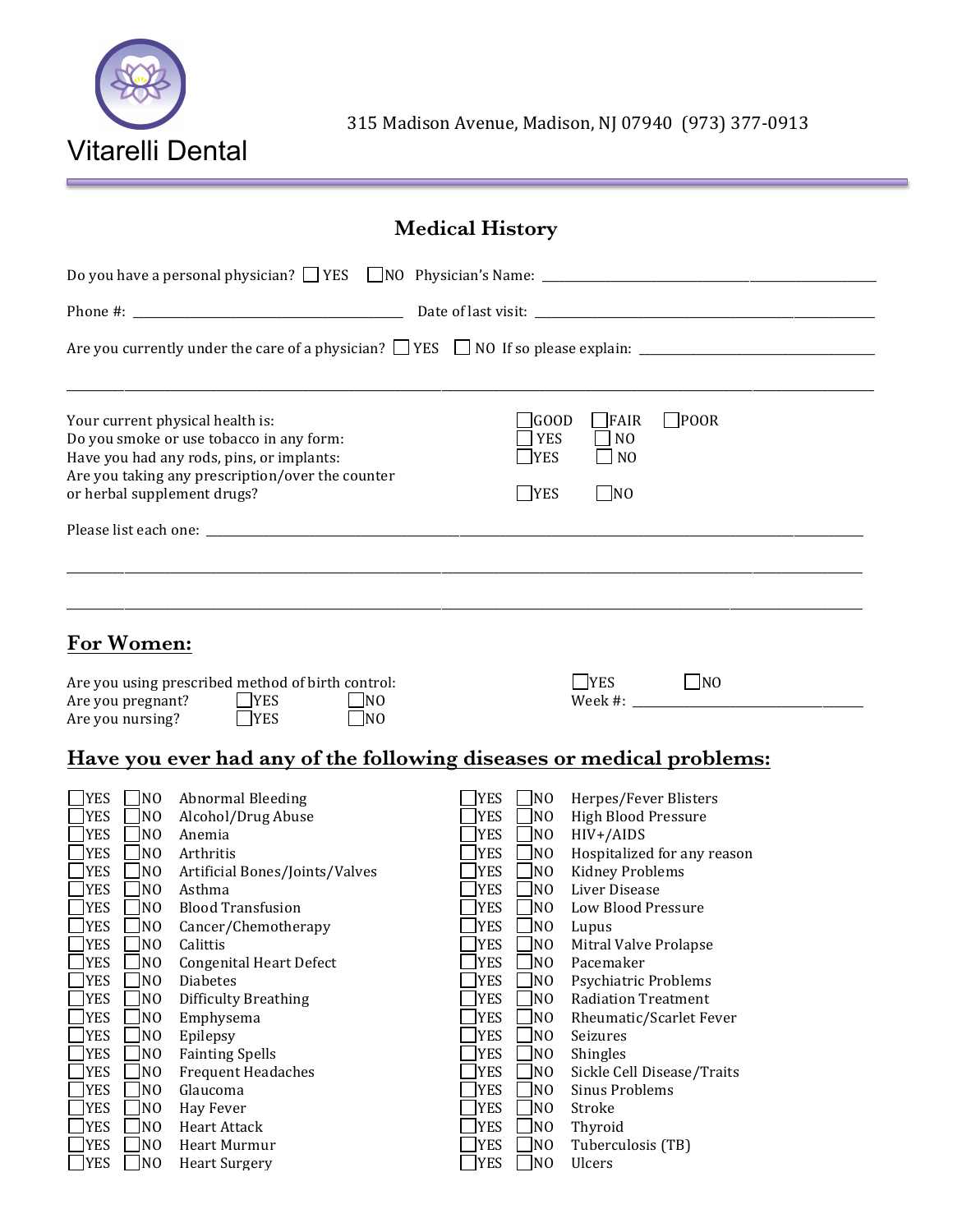

315 Madison Avenue, Madison, NJ 07940 (973) 377-0913

## **Medical History**

| Your current physical health is:<br>Do you smoke or use tobacco in any form:<br>Have you had any rods, pins, or implants:<br>Are you taking any prescription/over the counter<br>or herbal supplement drugs?                                                                                                                                                                                                                                                                                                                                                                                                                                                                                                                                                                                                                                                                                                                                                                                                                                                                                        | $\square$ POOR<br>$\sqrt{1600D}$<br>$\Box$ FAIR<br><b>YES</b><br>$\Box$ NO<br>$\mathbb{T}$ YES<br>$\Box$ NO<br>$\Box$ YES<br>$\n  NO\n$                                                                                                                                                                                                                                                                                                                                                                                                                                                                                                                                                                                                                                                                                                                                                                                                                                                                                                                                                                                                                               |  |  |  |  |  |
|-----------------------------------------------------------------------------------------------------------------------------------------------------------------------------------------------------------------------------------------------------------------------------------------------------------------------------------------------------------------------------------------------------------------------------------------------------------------------------------------------------------------------------------------------------------------------------------------------------------------------------------------------------------------------------------------------------------------------------------------------------------------------------------------------------------------------------------------------------------------------------------------------------------------------------------------------------------------------------------------------------------------------------------------------------------------------------------------------------|-----------------------------------------------------------------------------------------------------------------------------------------------------------------------------------------------------------------------------------------------------------------------------------------------------------------------------------------------------------------------------------------------------------------------------------------------------------------------------------------------------------------------------------------------------------------------------------------------------------------------------------------------------------------------------------------------------------------------------------------------------------------------------------------------------------------------------------------------------------------------------------------------------------------------------------------------------------------------------------------------------------------------------------------------------------------------------------------------------------------------------------------------------------------------|--|--|--|--|--|
| For Women:<br>Are you using prescribed method of birth control:<br>Are you pregnant?<br>YES<br>$\Box$ NO<br>$\Box$ YES<br>Are you nursing?<br>$\Box$ NO                                                                                                                                                                                                                                                                                                                                                                                                                                                                                                                                                                                                                                                                                                                                                                                                                                                                                                                                             | $\Box$ NO<br>YES                                                                                                                                                                                                                                                                                                                                                                                                                                                                                                                                                                                                                                                                                                                                                                                                                                                                                                                                                                                                                                                                                                                                                      |  |  |  |  |  |
| $\Box$ YES<br>N <sub>0</sub><br><b>Abnormal Bleeding</b><br><b>YES</b><br>Alcohol/Drug Abuse<br>N <sub>0</sub><br><b>YES</b><br>N <sub>0</sub><br>Anemia<br>YES<br>N <sub>0</sub><br>Arthritis<br>YES<br>Artificial Bones/Joints/Valves<br>N <sub>0</sub><br>YES<br>Asthma<br>N <sub>0</sub><br>YES<br><b>Blood Transfusion</b><br>N <sub>0</sub><br><b>YES</b><br>N <sub>O</sub><br>Cancer/Chemotherapy<br><b>JYES</b><br>N <sub>0</sub><br>Calittis<br><b>YES</b><br>N <sub>0</sub><br><b>Congenital Heart Defect</b><br><b>YES</b><br>N <sub>0</sub><br>Diabetes<br><b>YES</b><br>N <sub>0</sub><br><b>Difficulty Breathing</b><br><b>YES</b><br>N <sub>0</sub><br>Emphysema<br><b>YES</b><br>N <sub>0</sub><br>Epilepsy<br><b>YES</b><br>N <sub>0</sub><br><b>Fainting Spells</b><br><b>YES</b><br>N <sub>0</sub><br><b>Frequent Headaches</b><br><b>YES</b><br>Glaucoma<br>N <sub>O</sub><br><b>YES</b><br>N <sub>0</sub><br>Hay Fever<br><b>YES</b><br>N <sub>O</sub><br>Heart Attack<br><b>YES</b><br>N <sub>O</sub><br>Heart Murmur<br><b>YES</b><br>N <sub>O</sub><br><b>Heart Surgery</b> | Have you ever had any of the following diseases or medical problems:<br><b>YES</b><br>$\Box$ NO<br>Herpes/Fever Blisters<br><b>High Blood Pressure</b><br><b>YES</b><br>$\Box$ NO<br>$\Box$ NO<br><b>YES</b><br>HIV+/AIDS<br>Hospitalized for any reason<br><b>YES</b><br>$\sqrt{10}$<br>$\Box$ NO<br><b>Kidney Problems</b><br><b>YES</b><br>$\sqrt{10}$<br>Liver Disease<br><b>YES</b><br><b>YES</b><br>$\sqrt{10}$<br>Low Blood Pressure<br>$\sqrt{10}$<br><b>YES</b><br>Lupus<br><b>YES</b><br>N <sub>O</sub><br>Mitral Valve Prolapse<br><b>YES</b><br>$\Box$ NO<br>Pacemaker<br>YES]<br>N <sub>0</sub><br>Psychiatric Problems<br><b>YES</b><br>N <sub>0</sub><br><b>Radiation Treatment</b><br><b>YES</b><br>$\overline{\text{N}}$<br>Rheumatic/Scarlet Fever<br><b>TYES</b><br>$\sqrt{\text{NO}}$<br>Seizures<br><b>YES</b><br>N <sub>0</sub><br>Shingles<br><b>YES</b><br>N <sub>O</sub><br>Sickle Cell Disease/Traits<br>N <sub>O</sub><br><b>YES</b><br>Sinus Problems<br>N <sub>O</sub><br><b>YES</b><br>Stroke<br><b>YES</b><br>N <sub>O</sub><br>Thyroid<br>N <sub>0</sub><br><b>YES</b><br>Tuberculosis (TB)<br><b>YES</b><br>N <sub>0</sub><br>Ulcers |  |  |  |  |  |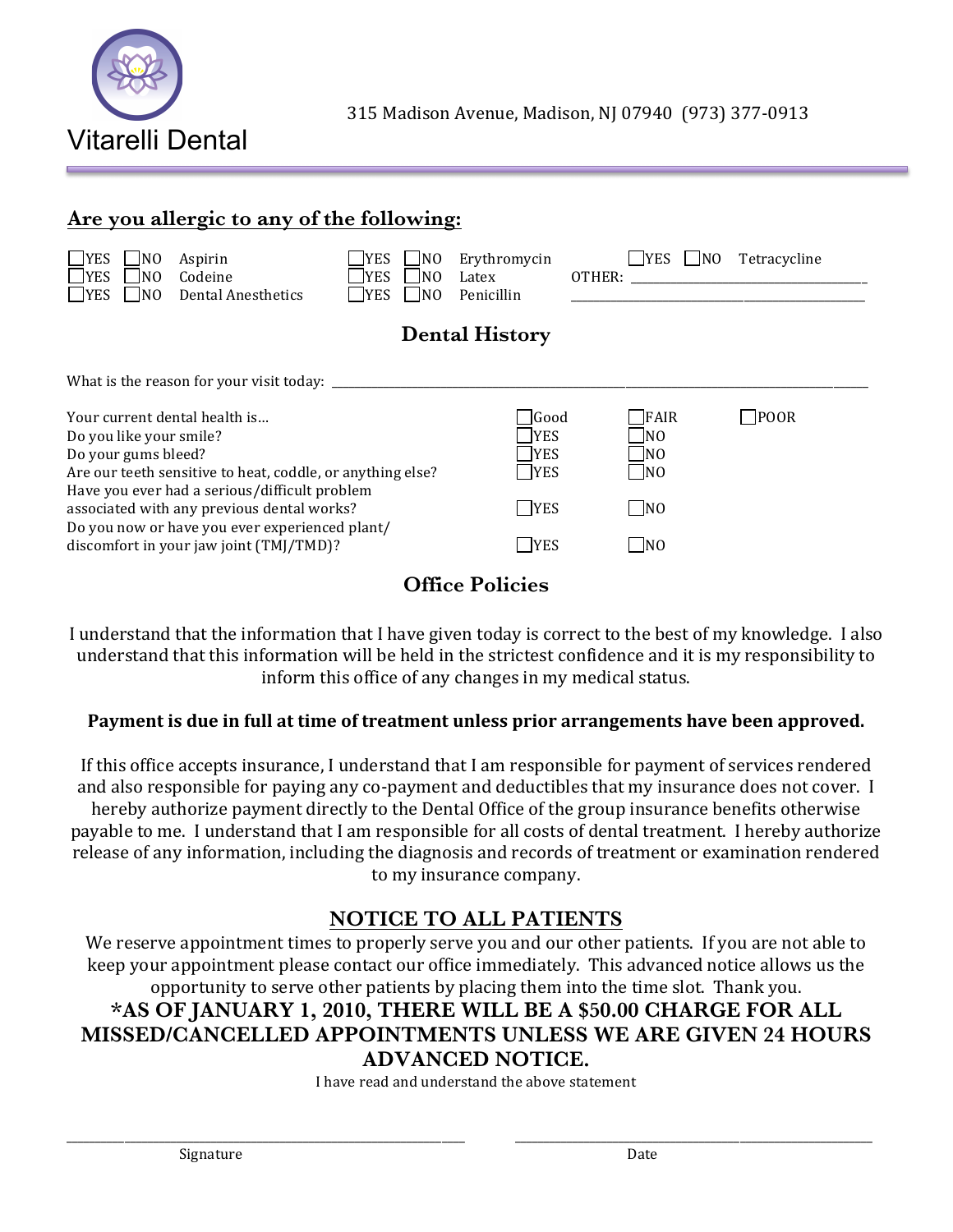

#### **Are you allergic to any of the following:**

| <b>YES</b><br><b>YES</b><br><b>YES</b>                                                                                                                                                                                                                 | NO.<br>N <sub>0</sub><br>N <sub>O</sub> | Aspirin<br>Codeine<br>Dental Anesthetics | <b>YES</b><br>INO.<br><b>YES</b><br>INO.<br><b>YES</b><br>INO. | Erythromycin<br>Latex<br>Penicillin | <b>YES</b><br>OTHER: | Tetracycline<br><b>NO</b> |  |
|--------------------------------------------------------------------------------------------------------------------------------------------------------------------------------------------------------------------------------------------------------|-----------------------------------------|------------------------------------------|----------------------------------------------------------------|-------------------------------------|----------------------|---------------------------|--|
| <b>Dental History</b>                                                                                                                                                                                                                                  |                                         |                                          |                                                                |                                     |                      |                           |  |
| What is the reason for your visit today: ___________                                                                                                                                                                                                   |                                         |                                          |                                                                |                                     |                      |                           |  |
|                                                                                                                                                                                                                                                        |                                         | Your current dental health is            |                                                                | $\sqrt{3}$                          | FAIR                 | <b>POOR</b>               |  |
| Do you like your smile?                                                                                                                                                                                                                                |                                         |                                          |                                                                | <b>YES</b>                          | NO                   |                           |  |
| Do your gums bleed?                                                                                                                                                                                                                                    |                                         |                                          | <b>IYES</b>                                                    | NO                                  |                      |                           |  |
| Are our teeth sensitive to heat, coddle, or anything else?<br>Have you ever had a serious/difficult problem<br>associated with any previous dental works?<br>Do you now or have you ever experienced plant/<br>discomfort in your jaw joint (TMJ/TMD)? |                                         |                                          | <b>YES</b>                                                     | $\blacksquare$ NO                   |                      |                           |  |
|                                                                                                                                                                                                                                                        |                                         |                                          | <b>TYES</b>                                                    | $\Box$ NO                           |                      |                           |  |
|                                                                                                                                                                                                                                                        |                                         |                                          | <b>YES</b>                                                     | N <sub>0</sub>                      |                      |                           |  |

#### **Office Policies**

I understand that the information that I have given today is correct to the best of my knowledge. I also understand that this information will be held in the strictest confidence and it is my responsibility to inform this office of any changes in my medical status.

#### Payment is due in full at time of treatment unless prior arrangements have been approved.

If this office accepts insurance, I understand that I am responsible for payment of services rendered and also responsible for paying any co-payment and deductibles that my insurance does not cover. I hereby authorize payment directly to the Dental Office of the group insurance benefits otherwise payable to me. I understand that I am responsible for all costs of dental treatment. I hereby authorize release of any information, including the diagnosis and records of treatment or examination rendered to my insurance company.

#### **NOTICE TO ALL PATIENTS**

We reserve appointment times to properly serve you and our other patients. If you are not able to keep your appointment please contact our office immediately. This advanced notice allows us the opportunity to serve other patients by placing them into the time slot. Thank you.

#### **\*AS OF JANUARY 1, 2010, THERE WILL BE A \$50.00 CHARGE FOR ALL MISSED/CANCELLED APPOINTMENTS UNLESS WE ARE GIVEN 24 HOURS ADVANCED NOTICE.**

I have read and understand the above statement

\_\_\_\_\_\_\_\_\_\_\_\_\_\_\_\_\_\_\_\_\_\_\_\_\_\_\_\_\_\_\_\_\_\_\_\_\_\_\_\_\_\_\_\_\_\_\_\_\_\_\_\_\_\_\_\_\_\_\_\_\_\_\_\_\_\_\_\_\_ \_\_\_\_\_\_\_\_\_\_\_\_\_\_\_\_\_\_\_\_\_\_\_\_\_\_\_\_\_\_\_\_\_\_\_\_\_\_\_\_\_\_\_\_\_\_\_\_\_\_\_\_\_\_\_\_\_\_\_\_\_\_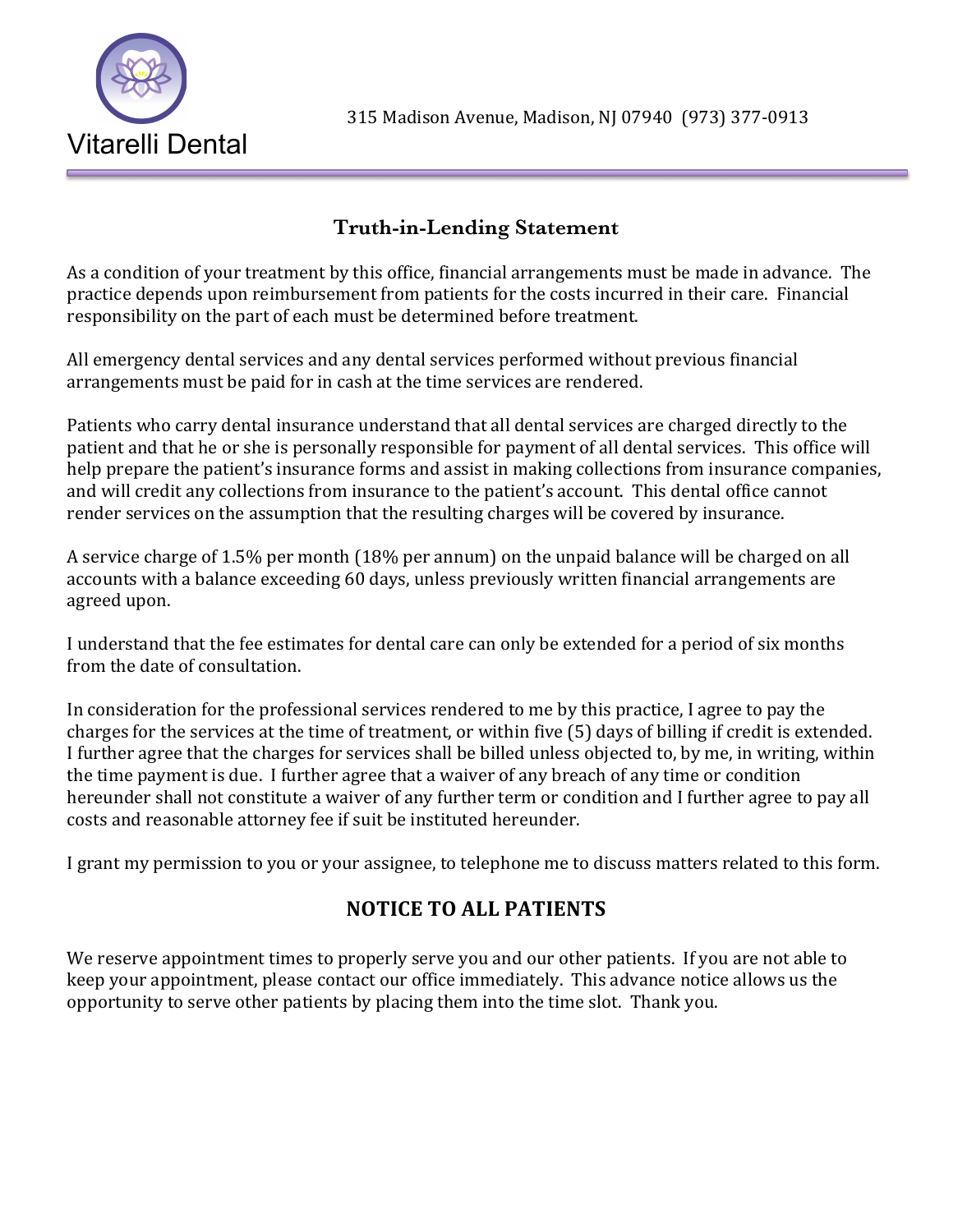

#### **Truth-in-Lending Statement**

As a condition of your treatment by this office, financial arrangements must be made in advance. The practice depends upon reimbursement from patients for the costs incurred in their care. Financial responsibility on the part of each must be determined before treatment.

All emergency dental services and any dental services performed without previous financial arrangements must be paid for in cash at the time services are rendered.

Patients who carry dental insurance understand that all dental services are charged directly to the patient and that he or she is personally responsible for payment of all dental services. This office will help prepare the patient's insurance forms and assist in making collections from insurance companies, and will credit any collections from insurance to the patient's account. This dental office cannot render services on the assumption that the resulting charges will be covered by insurance.

A service charge of 1.5% per month (18% per annum) on the unpaid balance will be charged on all accounts with a balance exceeding 60 days, unless previously written financial arrangements are agreed upon.

I understand that the fee estimates for dental care can only be extended for a period of six months from the date of consultation.

In consideration for the professional services rendered to me by this practice, I agree to pay the charges for the services at the time of treatment, or within five (5) days of billing if credit is extended. I further agree that the charges for services shall be billed unless objected to, by me, in writing, within the time payment is due. I further agree that a waiver of any breach of any time or condition hereunder shall not constitute a waiver of any further term or condition and I further agree to pay all costs and reasonable attorney fee if suit be instituted hereunder.

I grant my permission to you or your assignee, to telephone me to discuss matters related to this form.

### **NOTICE TO ALL PATIENTS**

We reserve appointment times to properly serve you and our other patients. If you are not able to keep your appointment, please contact our office immediately. This advance notice allows us the opportunity to serve other patients by placing them into the time slot. Thank you.